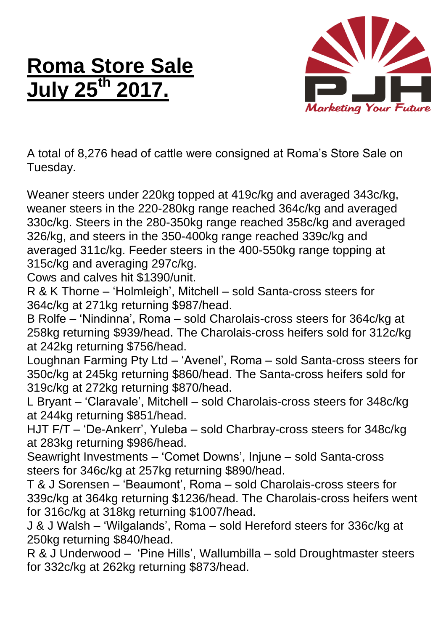## **Roma Store Sale July 25th 2017.**



A total of 8,276 head of cattle were consigned at Roma's Store Sale on Tuesday.

Weaner steers under 220kg topped at 419c/kg and averaged 343c/kg, weaner steers in the 220-280kg range reached 364c/kg and averaged 330c/kg. Steers in the 280-350kg range reached 358c/kg and averaged 326/kg, and steers in the 350-400kg range reached 339c/kg and averaged 311c/kg. Feeder steers in the 400-550kg range topping at 315c/kg and averaging 297c/kg.

Cows and calves hit \$1390/unit.

R & K Thorne – 'Holmleigh', Mitchell – sold Santa-cross steers for 364c/kg at 271kg returning \$987/head.

B Rolfe – 'Nindinna', Roma – sold Charolais-cross steers for 364c/kg at 258kg returning \$939/head. The Charolais-cross heifers sold for 312c/kg at 242kg returning \$756/head.

Loughnan Farming Pty Ltd – 'Avenel', Roma – sold Santa-cross steers for 350c/kg at 245kg returning \$860/head. The Santa-cross heifers sold for 319c/kg at 272kg returning \$870/head.

L Bryant – 'Claravale', Mitchell – sold Charolais-cross steers for 348c/kg at 244kg returning \$851/head.

HJT F/T – 'De-Ankerr', Yuleba – sold Charbray-cross steers for 348c/kg at 283kg returning \$986/head.

Seawright Investments – 'Comet Downs', Injune – sold Santa-cross steers for 346c/kg at 257kg returning \$890/head.

T & J Sorensen – 'Beaumont', Roma – sold Charolais-cross steers for 339c/kg at 364kg returning \$1236/head. The Charolais-cross heifers went for 316c/kg at 318kg returning \$1007/head.

J & J Walsh – 'Wilgalands', Roma – sold Hereford steers for 336c/kg at 250kg returning \$840/head.

R & J Underwood – 'Pine Hills', Wallumbilla – sold Droughtmaster steers for 332c/kg at 262kg returning \$873/head.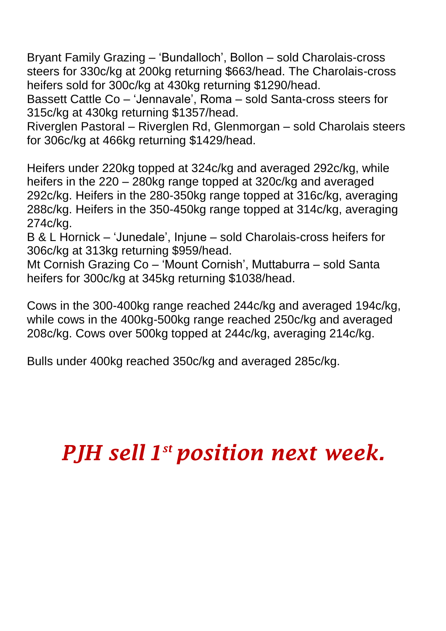Bryant Family Grazing – 'Bundalloch', Bollon – sold Charolais-cross steers for 330c/kg at 200kg returning \$663/head. The Charolais-cross heifers sold for 300c/kg at 430kg returning \$1290/head.

Bassett Cattle Co – 'Jennavale', Roma – sold Santa-cross steers for 315c/kg at 430kg returning \$1357/head.

Riverglen Pastoral – Riverglen Rd, Glenmorgan – sold Charolais steers for 306c/kg at 466kg returning \$1429/head.

Heifers under 220kg topped at 324c/kg and averaged 292c/kg, while heifers in the 220 – 280kg range topped at 320c/kg and averaged 292c/kg. Heifers in the 280-350kg range topped at 316c/kg, averaging 288c/kg. Heifers in the 350-450kg range topped at 314c/kg, averaging 274c/kg.

B & L Hornick – 'Junedale', Injune – sold Charolais-cross heifers for 306c/kg at 313kg returning \$959/head.

Mt Cornish Grazing Co – 'Mount Cornish', Muttaburra – sold Santa heifers for 300c/kg at 345kg returning \$1038/head.

Cows in the 300-400kg range reached 244c/kg and averaged 194c/kg, while cows in the 400kg-500kg range reached 250c/kg and averaged 208c/kg. Cows over 500kg topped at 244c/kg, averaging 214c/kg.

Bulls under 400kg reached 350c/kg and averaged 285c/kg.

## *PJH sell 1 st position next week.*